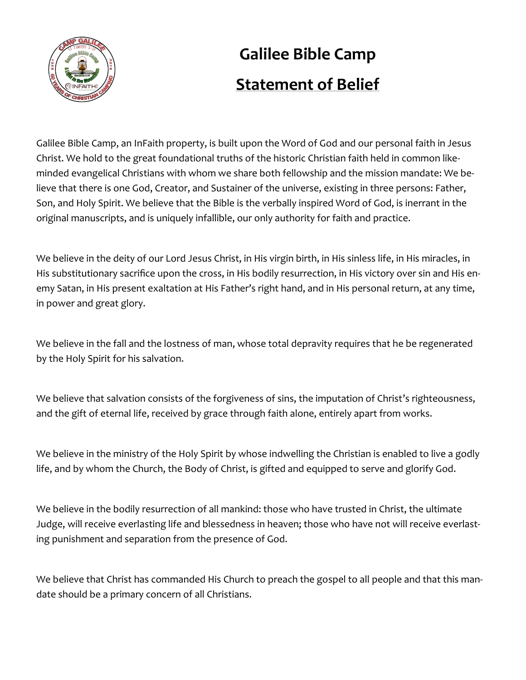

# **Galilee Bible Camp Statement of Belief**

Galilee Bible Camp, an InFaith property, is built upon the Word of God and our personal faith in Jesus Christ. We hold to the great foundational truths of the historic Christian faith held in common likeminded evangelical Christians with whom we share both fellowship and the mission mandate: We believe that there is one God, Creator, and Sustainer of the universe, existing in three persons: Father, Son, and Holy Spirit. We believe that the Bible is the verbally inspired Word of God, is inerrant in the original manuscripts, and is uniquely infallible, our only authority for faith and practice.

We believe in the deity of our Lord Jesus Christ, in His virgin birth, in His sinless life, in His miracles, in His substitutionary sacrifice upon the cross, in His bodily resurrection, in His victory over sin and His enemy Satan, in His present exaltation at His Father's right hand, and in His personal return, at any time, in power and great glory.

We believe in the fall and the lostness of man, whose total depravity requires that he be regenerated by the Holy Spirit for his salvation.

We believe that salvation consists of the forgiveness of sins, the imputation of Christ's righteousness, and the gift of eternal life, received by grace through faith alone, entirely apart from works.

We believe in the ministry of the Holy Spirit by whose indwelling the Christian is enabled to live a godly life, and by whom the Church, the Body of Christ, is gifted and equipped to serve and glorify God.

We believe in the bodily resurrection of all mankind: those who have trusted in Christ, the ultimate Judge, will receive everlasting life and blessedness in heaven; those who have not will receive everlasting punishment and separation from the presence of God.

We believe that Christ has commanded His Church to preach the gospel to all people and that this mandate should be a primary concern of all Christians.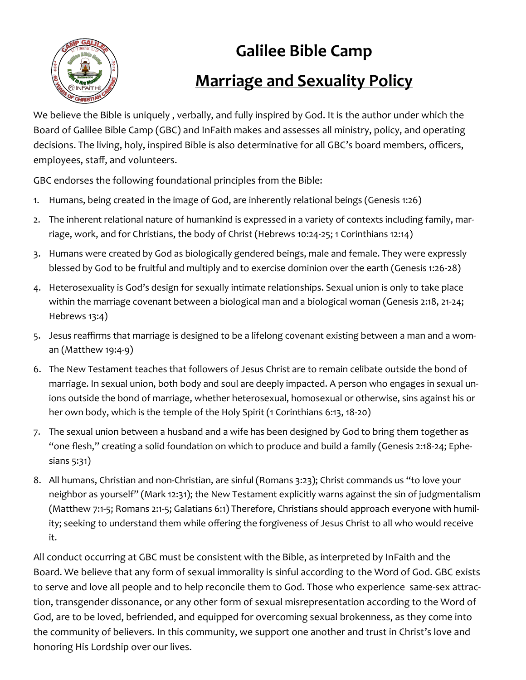

# **Galilee Bible Camp Marriage and Sexuality Policy**

We believe the Bible is uniquely , verbally, and fully inspired by God. It is the author under which the Board of Galilee Bible Camp (GBC) and InFaith makes and assesses all ministry, policy, and operating decisions. The living, holy, inspired Bible is also determinative for all GBC's board members, officers, employees, staff, and volunteers.

GBC endorses the following foundational principles from the Bible:

- 1. Humans, being created in the image of God, are inherently relational beings (Genesis 1:26)
- 2. The inherent relational nature of humankind is expressed in a variety of contexts including family, marriage, work, and for Christians, the body of Christ (Hebrews 10:24-25; 1 Corinthians 12:14)
- 3. Humans were created by God as biologically gendered beings, male and female. They were expressly blessed by God to be fruitful and multiply and to exercise dominion over the earth (Genesis 1:26-28)
- 4. Heterosexuality is God's design for sexually intimate relationships. Sexual union is only to take place within the marriage covenant between a biological man and a biological woman (Genesis 2:18, 21-24; Hebrews 13:4)
- 5. Jesus reaffirms that marriage is designed to be a lifelong covenant existing between a man and a woman (Matthew 19:4-9)
- 6. The New Testament teaches that followers of Jesus Christ are to remain celibate outside the bond of marriage. In sexual union, both body and soul are deeply impacted. A person who engages in sexual unions outside the bond of marriage, whether heterosexual, homosexual or otherwise, sins against his or her own body, which is the temple of the Holy Spirit (1 Corinthians 6:13, 18-20)
- 7. The sexual union between a husband and a wife has been designed by God to bring them together as "one flesh," creating a solid foundation on which to produce and build a family (Genesis 2:18-24; Ephesians 5:31)
- 8. All humans, Christian and non-Christian, are sinful (Romans 3:23); Christ commands us "to love your neighbor as yourself" (Mark 12:31); the New Testament explicitly warns against the sin of judgmentalism (Matthew 7:1-5; Romans 2:1-5; Galatians 6:1) Therefore, Christians should approach everyone with humility; seeking to understand them while offering the forgiveness of Jesus Christ to all who would receive it.

All conduct occurring at GBC must be consistent with the Bible, as interpreted by InFaith and the Board. We believe that any form of sexual immorality is sinful according to the Word of God. GBC exists to serve and love all people and to help reconcile them to God. Those who experience same-sex attraction, transgender dissonance, or any other form of sexual misrepresentation according to the Word of God, are to be loved, befriended, and equipped for overcoming sexual brokenness, as they come into the community of believers. In this community, we support one another and trust in Christ's love and honoring His Lordship over our lives.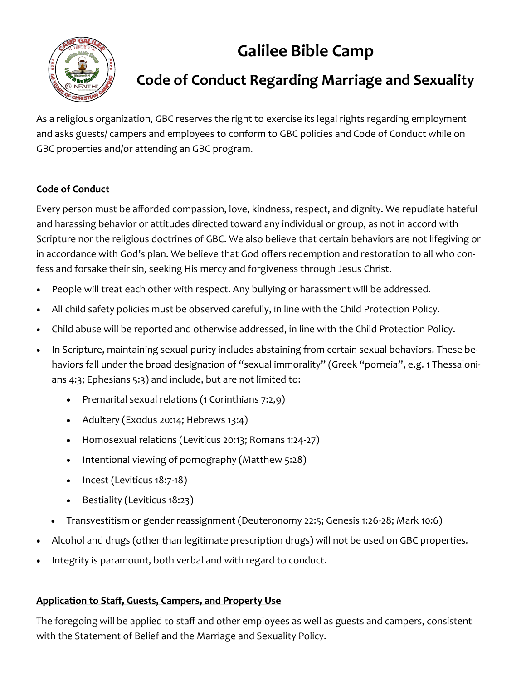## **Galilee Bible Camp**



### **Code of Conduct Regarding Marriage and Sexuality**

As a religious organization, GBC reserves the right to exercise its legal rights regarding employment and asks guests/ campers and employees to conform to GBC policies and Code of Conduct while on GBC properties and/or attending an GBC program.

### **Code of Conduct**

Every person must be afforded compassion, love, kindness, respect, and dignity. We repudiate hateful and harassing behavior or attitudes directed toward any individual or group, as not in accord with Scripture nor the religious doctrines of GBC. We also believe that certain behaviors are not lifegiving or in accordance with God's plan. We believe that God offers redemption and restoration to all who confess and forsake their sin, seeking His mercy and forgiveness through Jesus Christ.

- People will treat each other with respect. Any bullying or harassment will be addressed.
- All child safety policies must be observed carefully, in line with the Child Protection Policy.
- Child abuse will be reported and otherwise addressed, in line with the Child Protection Policy.
- In Scripture, maintaining sexual purity includes abstaining from certain sexual behaviors. These behaviors fall under the broad designation of "sexual immorality" (Greek "porneia", e.g. 1 Thessalonians 4:3; Ephesians 5:3) and include, but are not limited to:
	- Premarital sexual relations (1 Corinthians 7:2,9)
	- Adultery (Exodus 20:14; Hebrews 13:4)
	- Homosexual relations (Leviticus 20:13; Romans 1:24-27)
	- Intentional viewing of pornography (Matthew 5:28)
	- Incest (Leviticus 18:7-18)
	- Bestiality (Leviticus 18:23)
	- Transvestitism or gender reassignment (Deuteronomy 22:5; Genesis 1:26-28; Mark 10:6)
- Alcohol and drugs (other than legitimate prescription drugs) will not be used on GBC properties.
- Integrity is paramount, both verbal and with regard to conduct.

### **Application to Staff, Guests, Campers, and Property Use**

The foregoing will be applied to staff and other employees as well as guests and campers, consistent with the Statement of Belief and the Marriage and Sexuality Policy.